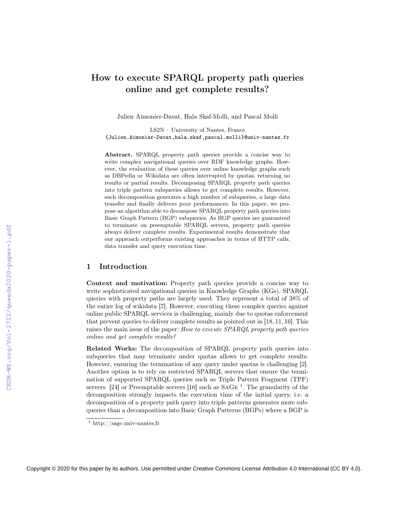# How to execute SPARQL property path queries online and get complete results?

Julien Aimonier-Davat, Hala Skaf-Molli, and Pascal Molli

LS2N – University of Nantes, France {Julien.Aimonier-Davat,hala.skaf,pascal.molli}@univ-nantes.fr

Abstract. SPARQL property path queries provide a concise way to write complex navigational queries over RDF knowledge graphs. However, the evaluation of these queries over online knowledge graphs such as DBPedia or Wikidata are often interrupted by quotas, returning no results or partial results. Decomposing SPARQL property path queries into triple pattern subqueries allows to get complete results. However, such decomposition generates a high number of subqueries, a large data transfer and finally delivers poor performances. In this paper, we propose an algorithm able to decompose SPARQL property path queries into Basic Graph Pattern (BGP) subqueries. As BGP queries are guaranteed to terminate on preemptable SPARQL servers, property path queries always deliver complete results. Experimental results demonstrate that our approach outperforms existing approaches in terms of HTTP calls, data transfer and query execution time.

## 1 Introduction

Context and motivation: Property path queries provide a concise way to write sophisticated navigational queries in Knowledge Graphs (KGs). SPARQL queries with property paths are largely used. They represent a total of 38% of the entire log of wikidata [7]. However, executing these complex queries against online public SPARQL services is challenging, mainly due to quotas enforcement that prevent queries to deliver complete results as pointed out in [18, 11, 16]. This raises the main issue of the paper: How to execute SPARQL property path queries online and get complete results?

Related Works: The decomposition of SPARQL property path queries into subqueries that may terminate under quotas allows to get complete results. However, ensuring the termination of any query under quotas is challenging [2]. Another option is to rely on restricted SPARQL servers that ensure the termination of supported SPARQL queries such as Triple Pattern Fragment (TPF) servers [24] or Preemptable servers [16] such as  $SAGE<sup>1</sup>$ . The granularity of the decomposition strongly impacts the execution time of the initial query, i.e. a decomposition of a property path query into triple patterns generates more subqueries than a decomposition into Basic Graph Patterns (BGPs) where a BGP is

<sup>1</sup> http://sage.univ-nantes.fr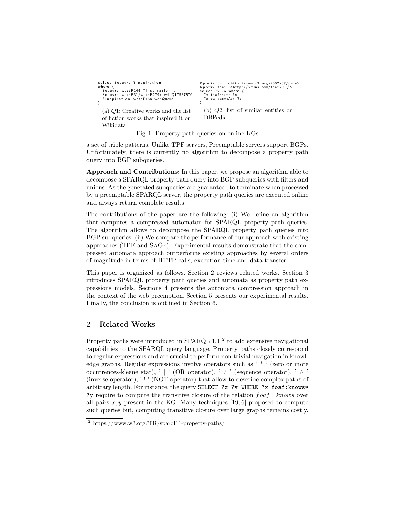```
select ? oeuvre ? inspiration
where {<br>contrast ? ocuvre wdt:P144 ?inspiration .
   ? o e u v r e wdt : P31/wdt : P279∗ wd : Q17537576 .
? i n s p i r a t i o n wdt : P136 wd : Q8253
}
   (a) Q1: Creative works and the list
  of fiction works that inspired it on
   Wikidata
                                                                     @prefix owl: <http://www.w3.org/2002/07/owl#≫<br>@prefix foaf: <http://xmlns.com/foaf/0.1/><br>select ?x ?o where {<br>?x foaf:name ?n .
                                                                       ? x owl : sameAs∗ ? o .
                                                                    }
                                                                       (b) Q2: list of similar entities on
                                                                       DBPedia
```
Fig. 1: Property path queries on online KGs

a set of triple patterns. Unlike TPF servers, Preemptable servers support BGPs. Unfortunately, there is currently no algorithm to decompose a property path query into BGP subqueries.

Approach and Contributions: In this paper, we propose an algorithm able to decompose a SPARQL property path query into BGP subqueries with filters and unions. As the generated subqueries are guaranteed to terminate when processed by a preemptable SPARQL server, the property path queries are executed online and always return complete results.

The contributions of the paper are the following: (i) We define an algorithm that computes a compressed automaton for SPARQL property path queries. The algorithm allows to decompose the SPARQL property path queries into BGP subqueries. (ii) We compare the performance of our approach with existing approaches (TPF and SaGe). Experimental results demonstrate that the compressed automata approach outperforms existing approaches by several orders of magnitude in terms of HTTP calls, execution time and data transfer.

This paper is organized as follows. Section 2 reviews related works. Section 3 introduces SPARQL property path queries and automata as property path expressions models. Sections 4 presents the automata compression approach in the context of the web preemption. Section 5 presents our experimental results. Finally, the conclusion is outlined in Section 6.

## 2 Related Works

Property paths were introduced in SPARQL 1.1<sup>2</sup> to add extensive navigational capabilities to the SPARQL query language. Property paths closely correspond to regular expressions and are crucial to perform non-trivial navigation in knowledge graphs. Regular expressions involve operators such as ' \* ' (zero or more occurrences-kleene star), ' | ' (OR operator), ' / ' (sequence operator), '  $\wedge$  ' (inverse operator), ' ! ' (NOT operator) that allow to describe complex paths of arbitrary length. For instance, the query SELECT ?x ?y WHERE ?x foaf:knows\* ?y require to compute the transitive closure of the relation  $foaf : knows$  over all pairs  $x, y$  present in the KG. Many techniques [19, 6] proposed to compute such queries but, computing transitive closure over large graphs remains costly.

 $^2$ https://www.w3.org/TR/sparql11-property-paths/  $\,$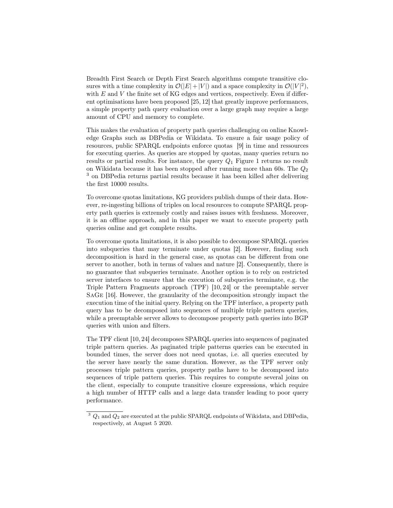Breadth First Search or Depth First Search algorithms compute transitive closures with a time complexity in  $\mathcal{O}(|E|+|V|)$  and a space complexity in  $\mathcal{O}(|V|^2)$ , with  $E$  and  $V$  the finite set of KG edges and vertices, respectively. Even if different optimisations have been proposed [25, 12] that greatly improve performances, a simple property path query evaluation over a large graph may require a large amount of CPU and memory to complete.

This makes the evaluation of property path queries challenging on online Knowledge Graphs such as DBPedia or Wikidata. To ensure a fair usage policy of resources, public SPARQL endpoints enforce quotas [9] in time and ressources for executing queries. As queries are stopped by quotas, many queries return no results or partial results. For instance, the query  $Q_1$  Figure 1 returns no result on Wikidata because it has been stopped after running more than 60s. The  $Q_2$ <sup>3</sup> on DBPedia returns partial results because it has been killed after delivering the first 10000 results.

To overcome quotas limitations, KG providers publish dumps of their data. However, re-ingesting billions of triples on local resources to compute SPARQL property path queries is extremely costly and raises issues with freshness. Moreover, it is an offline approach, and in this paper we want to execute property path queries online and get complete results.

To overcome quota limitations, it is also possible to decompose SPARQL queries into subqueries that may terminate under quotas [2]. However, finding such decomposition is hard in the general case, as quotas can be different from one server to another, both in terms of values and nature [2]. Consequently, there is no guarantee that subqueries terminate. Another option is to rely on restricted server interfaces to ensure that the execution of subqueries terminate, e.g. the Triple Pattern Fragments approach (TPF) [10, 24] or the preemptable server SaGe [16]. However, the granularity of the decomposition strongly impact the execution time of the initial query. Relying on the TPF interface, a property path query has to be decomposed into sequences of multiple triple pattern queries, while a preemptable server allows to decompose property path queries into BGP queries with union and filters.

The TPF client [10, 24] decomposes SPARQL queries into sequences of paginated triple pattern queries. As paginated triple patterns queries can be executed in bounded times, the server does not need quotas, i.e. all queries executed by the server have nearly the same duration. However, as the TPF server only processes triple pattern queries, property paths have to be decomposed into sequences of triple pattern queries. This requires to compute several joins on the client, especially to compute transitive closure expressions, which require a high number of HTTP calls and a large data transfer leading to poor query performance.

 $3 \ Q_1$  and  $Q_2$  are executed at the public SPARQL endpoints of Wikidata, and DBPedia, respectively, at August 5 2020.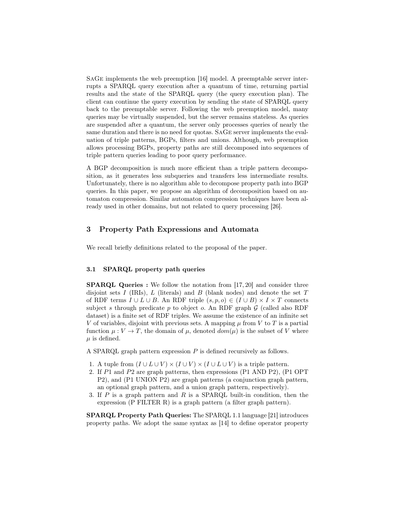SaGe implements the web preemption [16] model. A preemptable server interrupts a SPARQL query execution after a quantum of time, returning partial results and the state of the SPARQL query (the query execution plan). The client can continue the query execution by sending the state of SPARQL query back to the preemptable server. Following the web preemption model, many queries may be virtually suspended, but the server remains stateless. As queries are suspended after a quantum, the server only processes queries of nearly the same duration and there is no need for quotas. SaGe server implements the evaluation of triple patterns, BGPs, filters and unions. Although, web preemption allows processing BGPs, property paths are still decomposed into sequences of triple pattern queries leading to poor query performance.

A BGP decomposition is much more efficient than a triple pattern decomposition, as it generates less subqueries and transfers less intermediate results. Unfortunately, there is no algorithm able to decompose property path into BGP queries. In this paper, we propose an algorithm of decomposition based on automaton compression. Similar automaton compression techniques have been already used in other domains, but not related to query processing [26].

## 3 Property Path Expressions and Automata

We recall briefly definitions related to the proposal of the paper.

## 3.1 SPARQL property path queries

SPARQL Queries : We follow the notation from [17, 20] and consider three disjoint sets I (IRIs), L (literals) and B (blank nodes) and denote the set  $T$ of RDF terms  $I \cup L \cup B$ . An RDF triple  $(s, p, o) \in (I \cup B) \times I \times T$  connects subject s through predicate p to object o. An RDF graph  $\mathcal G$  (called also RDF dataset) is a finite set of RDF triples. We assume the existence of an infinite set V of variables, disjoint with previous sets. A mapping  $\mu$  from V to T is a partial function  $\mu: V \to T$ , the domain of  $\mu$ , denoted  $dom(\mu)$  is the subset of V where  $\mu$  is defined.

A SPARQL graph pattern expression  $P$  is defined recursively as follows.

- 1. A tuple from  $(I \cup L \cup V) \times (I \cup V) \times (I \cup L \cup V)$  is a triple pattern.
- 2. If P1 and P2 are graph patterns, then expressions (P1 AND P2), (P1 OPT P2), and (P1 UNION P2) are graph patterns (a conjunction graph pattern, an optional graph pattern, and a union graph pattern, respectively).
- 3. If  $P$  is a graph pattern and  $R$  is a SPARQL built-in condition, then the expression (P FILTER R) is a graph pattern (a filter graph pattern).

SPARQL Property Path Queries: The SPARQL 1.1 language [21] introduces property paths. We adopt the same syntax as [14] to define operator property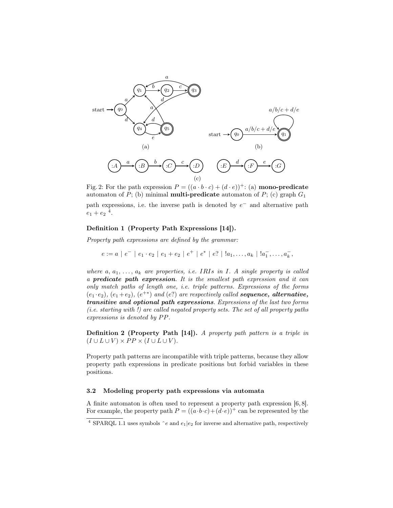

Fig. 2: For the path expression  $P = ((a \cdot b \cdot c) + (d \cdot e))^+$ : (a) **mono-predicate** automaton of P; (b) minimal **multi-predicate** automaton of P; (c) graph  $G_1$ path expressions, i.e. the inverse path is denoted by  $e^-$  and alternative path  $e_1 + e_2$ <sup>4</sup>.

#### Definition 1 (Property Path Expressions [14]).

Property path expressions are defined by the grammar:

$$
e := a | e^- | e_1 \cdot e_2 | e_1 + e_2 | e^+ | e^* | e^* | | a_1, \ldots, a_k | | a_1^-, \ldots, a_k^-,
$$

where  $a, a_1, \ldots, a_k$  are properties, i.e. IRIs in I. A single property is called a predicate path expression. It is the smallest path expression and it can only match paths of length one, i.e. triple patterns. Expressions of the forms  $(e_1 \cdot e_2)$ ,  $(e_1 + e_2)$ ,  $(e^{+*)}$  and  $(e^2)$  are respectively called **sequence, alternative,** transitive and optional path expressions. Expressions of the last two forms (i.e. starting with !) are called negated property sets. The set of all property paths  $expressions$  is denoted by  $PP$ .

Definition 2 (Property Path [14]). A property path pattern is a triple in  $(I \cup L \cup V) \times PP \times (I \cup L \cup V).$ 

Property path patterns are incompatible with triple patterns, because they allow property path expressions in predicate positions but forbid variables in these positions.

#### 3.2 Modeling property path expressions via automata

A finite automaton is often used to represent a property path expression [6, 8]. For example, the property path  $P = ((a \cdot b \cdot c) + (d \cdot e))^+$  can be represented by the

<sup>&</sup>lt;sup>4</sup> SPARQL 1.1 uses symbols  $\hat{e}$  and  $e_1|e_2$  for inverse and alternative path, respectively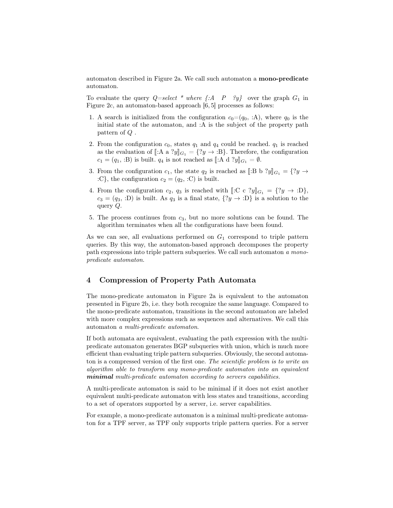automaton described in Figure 2a. We call such automaton a mono-predicate automaton.

To evaluate the query  $Q=select$  \* where  $\{A \quad P \quad \{y\}$  over the graph  $G_1$  in Figure 2c, an automaton-based approach [6, 5] processes as follows:

- 1. A search is initialized from the configuration  $c_0=(q_0, A)$ , where  $q_0$  is the initial state of the automaton, and :A is the subject of the property path pattern of Q .
- 2. From the configuration  $c_0$ , states  $q_1$  and  $q_4$  could be reached.  $q_1$  is reached as the evaluation of  $\llbracket:A \text{ a } ?y \rrbracket_{G_1} = \{?y \rightarrow :B\}$ . Therefore, the configuration  $c_1 = (q_1, B)$  is built.  $q_4$  is not reached as [[:A d ?y] $_{G_1} = \emptyset$ .
- 3. From the configuration  $c_1$ , the state  $q_2$  is reached as  $\llbracket :B\;b\;?y\rrbracket_{G_1}=\{?y\;\rightarrow$ :C}, the configuration  $c_2 = (q_2, :C)$  is built.
- 4. From the configuration  $c_2$ ,  $q_3$  is reached with  $\lbrack \lbrack \colon C \colon C \colon ?y \rbrack_{G_1} = \{?y \to :D\},\$  $c_3 = (q_3, :D)$  is built. As  $q_3$  is a final state,  $\{?y \rightarrow :D\}$  is a solution to the query Q.
- 5. The process continues from  $c_3$ , but no more solutions can be found. The algorithm terminates when all the configurations have been found.

As we can see, all evaluations performed on  $G_1$  correspond to triple pattern queries. By this way, the automaton-based approach decomposes the property path expressions into triple pattern subqueries. We call such automaton a monopredicate automaton.

## 4 Compression of Property Path Automata

The mono-predicate automaton in Figure 2a is equivalent to the automaton presented in Figure 2b, i.e. they both recognize the same language. Compared to the mono-predicate automaton, transitions in the second automaton are labeled with more complex expressions such as sequences and alternatives. We call this automaton a multi-predicate automaton.

If both automata are equivalent, evaluating the path expression with the multipredicate automaton generates BGP subqueries with union, which is much more efficient than evaluating triple pattern subqueries. Obviously, the second automaton is a compressed version of the first one. The scientific problem is to write an algorithm able to transform any mono-predicate automaton into an equivalent minimal multi-predicate automaton according to servers capabilities.

A multi-predicate automaton is said to be minimal if it does not exist another equivalent multi-predicate automaton with less states and transitions, according to a set of operators supported by a server, i.e. server capabilities.

For example, a mono-predicate automaton is a minimal multi-predicate automaton for a TPF server, as TPF only supports triple pattern queries. For a server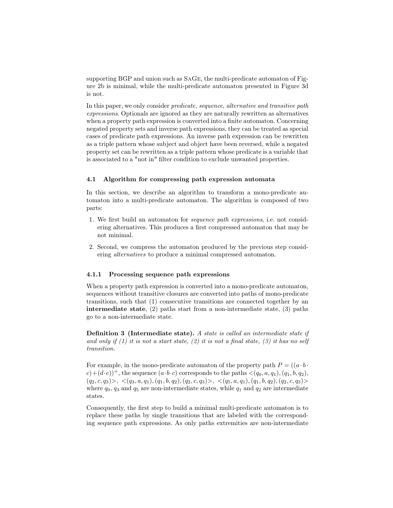supporting BGP and union such as SaGe, the multi-predicate automaton of Figure 2b is minimal, while the multi-predicate automaton presented in Figure 3d is not.

In this paper, we only consider predicate, sequence, alternative and transitive path expressions. Optionals are ignored as they are naturally rewritten as alternatives when a property path expression is converted into a finite automaton. Concerning negated property sets and inverse path expressions, they can be treated as special cases of predicate path expressions. An inverse path expression can be rewritten as a triple pattern whose subject and object have been reversed, while a negated property set can be rewritten as a triple pattern whose predicate is a variable that is associated to a "not in" filter condition to exclude unwanted properties.

#### 4.1 Algorithm for compressing path expression automata

In this section, we describe an algorithm to transform a mono-predicate automaton into a multi-predicate automaton. The algorithm is composed of two parts:

- 1. We first build an automaton for sequence path expressions, i.e. not considering alternatives. This produces a first compressed automaton that may be not minimal.
- 2. Second, we compress the automaton produced by the previous step considering alternatives to produce a minimal compressed automaton.

#### 4.1.1 Processing sequence path expressions

When a property path expression is converted into a mono-predicate automaton, sequences without transitive closures are converted into paths of mono-predicate transitions, such that (1) consecutive transitions are connected together by an intermediate state, (2) paths start from a non-intermediate state, (3) paths go to a non-intermediate state.

Definition 3 (Intermediate state). A state is called an intermediate state if and only if  $(1)$  it is not a start state,  $(2)$  it is not a final state,  $(3)$  it has no self transition.

For example, in the mono-predicate automaton of the property path  $P = ((a \cdot b \cdot$  $(c)+(d\cdot e)^+$ , the sequence  $(a\cdot b\cdot c)$  corresponds to the paths  $\langle (q_0, a, q_1), (q_1, b, q_2),$  $(q_2, c, q_3)>, \langle (q_3, a, q_1), (q_1, b, q_2), (q_2, c, q_3) \rangle, \langle (q_5, a, q_1), (q_1, b, q_2), (q_2, c, q_3) \rangle$ where  $q_0$ ,  $q_3$  and  $q_5$  are non-intermediate states, while  $q_1$  and  $q_2$  are intermediate states.

Consequently, the first step to build a minimal multi-predicate automaton is to replace these paths by single transitions that are labeled with the corresponding sequence path expressions. As only paths extremities are non-intermediate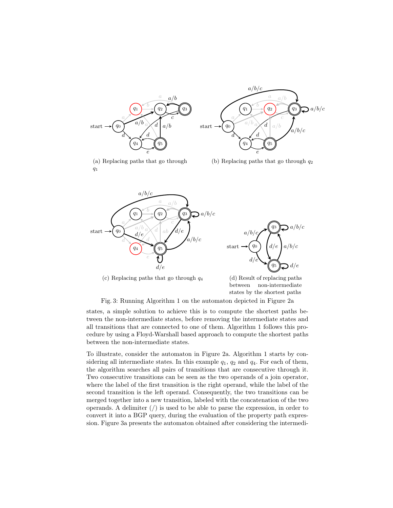

(a) Replacing paths that go through  $q_1$ 



(b) Replacing paths that go through  $q_2$ 





(c) Replacing paths that go through  $q_4$ 

(d) Result of replacing paths between non-intermediate states by the shortest paths

Fig. 3: Running Algorithm 1 on the automaton depicted in Figure 2a

states, a simple solution to achieve this is to compute the shortest paths between the non-intermediate states, before removing the intermediate states and all transitions that are connected to one of them. Algorithm 1 follows this procedure by using a Floyd-Warshall based approach to compute the shortest paths between the non-intermediate states.

To illustrate, consider the automaton in Figure 2a. Algorithm 1 starts by considering all intermediate states. In this example  $q_1$ ,  $q_2$  and  $q_4$ . For each of them, the algorithm searches all pairs of transitions that are consecutive through it. Two consecutive transitions can be seen as the two operands of a join operator, where the label of the first transition is the right operand, while the label of the second transition is the left operand. Consequently, the two transitions can be merged together into a new transition, labeled with the concatenation of the two operands. A delimiter  $\binom{1}{k}$  is used to be able to parse the expression, in order to convert it into a BGP query, during the evaluation of the property path expression. Figure 3a presents the automaton obtained after considering the intermedi-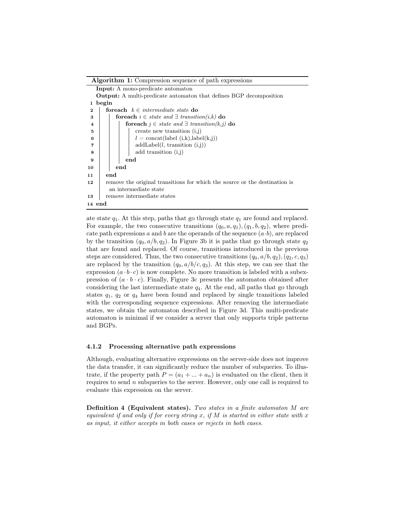#### Algorithm 1: Compression sequence of path expressions

|                | <b>Input:</b> A mono-predicate automaton                                           |                                                                           |                                            |  |  |  |  |  |  |  |  |
|----------------|------------------------------------------------------------------------------------|---------------------------------------------------------------------------|--------------------------------------------|--|--|--|--|--|--|--|--|
|                | <b>Output:</b> A multi-predicate automaton that defines BGP decomposition          |                                                                           |                                            |  |  |  |  |  |  |  |  |
| 1              | begin                                                                              |                                                                           |                                            |  |  |  |  |  |  |  |  |
| $\bf{2}$       | <b>forwach</b> $k \in intermediate state$ do                                       |                                                                           |                                            |  |  |  |  |  |  |  |  |
| 3              | <b>for<br/>each</b> $i \in state$ and $\exists$ transition( <i>i,k</i> ) <b>do</b> |                                                                           |                                            |  |  |  |  |  |  |  |  |
| 4              |                                                                                    | <b>for<br/>each</b> $j \in state$ and $\exists$ transition(k,j) <b>do</b> |                                            |  |  |  |  |  |  |  |  |
| 5              |                                                                                    |                                                                           | create new transition $(i, j)$             |  |  |  |  |  |  |  |  |
| 6              |                                                                                    |                                                                           | $l = \text{concat}(label(i,k),label(k,j))$ |  |  |  |  |  |  |  |  |
| $\overline{7}$ |                                                                                    |                                                                           | addLabel(l, transition (i,j))              |  |  |  |  |  |  |  |  |
| 8              |                                                                                    |                                                                           | add transition $(i,j)$                     |  |  |  |  |  |  |  |  |
| 9              |                                                                                    |                                                                           | end                                        |  |  |  |  |  |  |  |  |
| 10             | end                                                                                |                                                                           |                                            |  |  |  |  |  |  |  |  |
| 11             | end                                                                                |                                                                           |                                            |  |  |  |  |  |  |  |  |
| 12             | remove the original transitions for which the source or the destination is         |                                                                           |                                            |  |  |  |  |  |  |  |  |
|                | an intermediate state                                                              |                                                                           |                                            |  |  |  |  |  |  |  |  |
| 13             | remove intermediate states                                                         |                                                                           |                                            |  |  |  |  |  |  |  |  |
| 14 end         |                                                                                    |                                                                           |                                            |  |  |  |  |  |  |  |  |

ate state  $q_1$ . At this step, paths that go through state  $q_1$  are found and replaced. For example, the two consecutive transitions  $(q_0, a, q_1), (q_1, b, q_2)$ , where predicate path expressions a and b are the operands of the sequence  $(a \cdot b)$ , are replaced by the transition  $(q_0, a/b, q_2)$ . In Figure 3b it is paths that go through state  $q_2$ that are found and replaced. Of course, transitions introduced in the previous steps are considered. Thus, the two consecutive transitions  $(q_0, a/b, q_2), (q_2, c, q_3)$ are replaced by the transition  $(q_0, a/b/c, q_3)$ . At this step, we can see that the expression  $(a \cdot b \cdot c)$  is now complete. No more transition is labeled with a subexpression of  $(a \cdot b \cdot c)$ . Finally, Figure 3c presents the automaton obtained after considering the last intermediate state  $q_4$ . At the end, all paths that go through states  $q_1$ ,  $q_2$  or  $q_4$  have been found and replaced by single transitions labeled with the corresponding sequence expressions. After removing the intermediate states, we obtain the automaton described in Figure 3d. This multi-predicate automaton is minimal if we consider a server that only supports triple patterns and BGPs.

#### 4.1.2 Processing alternative path expressions

Although, evaluating alternative expressions on the server-side does not improve the data transfer, it can significantly reduce the number of subqueries. To illustrate, if the property path  $P = (a_1 + ... + a_n)$  is evaluated on the client, then it requires to send  $n$  subqueries to the server. However, only one call is required to evaluate this expression on the server.

Definition 4 (Equivalent states). Two states in a finite automaton M are equivalent if and only if for every string x, if  $M$  is started in either state with x as input, it either accepts in both cases or rejects in both cases.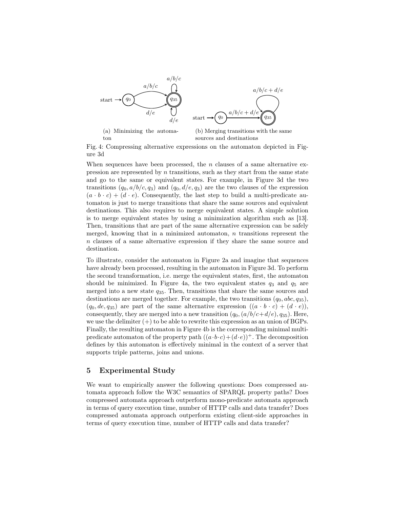

Fig. 4: Compressing alternative expressions on the automaton depicted in Figure 3d

When sequences have been processed, the  $n$  clauses of a same alternative expression are represented by  $n$  transitions, such as they start from the same state and go to the same or equivalent states. For example, in Figure 3d the two transitions  $(q_0, a/b/c, q_3)$  and  $(q_0, d/e, q_3)$  are the two clauses of the expression  $(a \cdot b \cdot c) + (d \cdot e)$ . Consequently, the last step to build a multi-predicate automaton is just to merge transitions that share the same sources and equivalent destinations. This also requires to merge equivalent states. A simple solution is to merge equivalent states by using a minimization algorithm such as [13]. Then, transitions that are part of the same alternative expression can be safely merged, knowing that in a minimized automaton,  $n$  transitions represent the n clauses of a same alternative expression if they share the same source and destination.

To illustrate, consider the automaton in Figure 2a and imagine that sequences have already been processed, resulting in the automaton in Figure 3d. To perform the second transformation, i.e. merge the equivalent states, first, the automaton should be minimized. In Figure 4a, the two equivalent states  $q_3$  and  $q_5$  are merged into a new state  $q_{35}$ . Then, transitions that share the same sources and destinations are merged together. For example, the two transitions  $(q_0, abc, q_{35})$ ,  $(q_0, de, q_{35})$  are part of the same alternative expression  $((a \cdot b \cdot c) + (d \cdot e))$ , consequently, they are merged into a new transition  $(q_0,(a/b/c+d/e), q_{35})$ . Here, we use the delimiter  $(+)$  to be able to rewrite this expression as an union of BGPs. Finally, the resulting automaton in Figure 4b is the corresponding minimal multipredicate automaton of the property path  $((a \cdot b \cdot c) + (d \cdot e))^+$ . The decomposition defines by this automaton is effectively minimal in the context of a server that supports triple patterns, joins and unions.

## 5 Experimental Study

We want to empirically answer the following questions: Does compressed automata approach follow the W3C semantics of SPARQL property paths? Does compressed automata approach outperform mono-predicate automata approach in terms of query execution time, number of HTTP calls and data transfer? Does compressed automata approach outperform existing client-side approaches in terms of query execution time, number of HTTP calls and data transfer?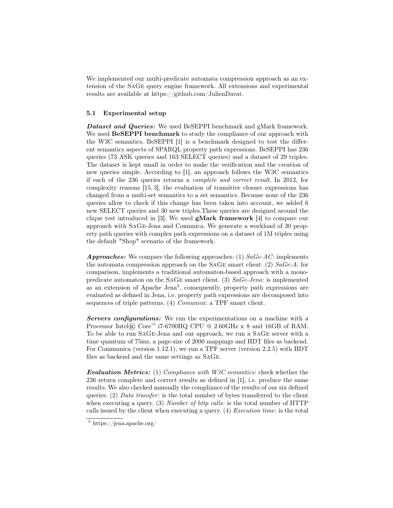We implemented our multi-predicate automata compression approach as an extension of the SaGe query engine framework. All extensions and experimental results are available at https://github.com/JulienDavat.

#### 5.1 Experimental setup

Dataset and Queries: We used BeSEPPI benchmark and gMark framework. We used **BeSEPPI** benchmark to study the compliance of our approach with the W3C semantics. BeSEPPI [1] is a benchmark designed to test the different semantics aspects of SPARQL property path expressions. BeSEPPI has 236 queries (73 ASK queries and 163 SELECT queries) and a dataset of 29 triples. The dataset is kept small in order to make the verification and the creation of new queries simple. According to [1], an approach follows the W3C semantics if each of the 236 queries returns a complete and correct result. In 2012, for complexity reasons [15, 3], the evaluation of transitive closure expressions has changed from a multi-set semantics to a set semantics. Because none of the 236 queries allow to check if this change has been taken into account, we added 6 new SELECT queries and 30 new triples.These queries are designed around the clique test introduced in [3]. We used gMark framework [4] to compare our approach with SaGe-Jena and Comunica. We generate a workload of 30 property path queries with complex path expressions on a dataset of 1M triples using the default "Shop" scenario of the framework.

**Approaches:** We compare the following approaches: (1)  $SaGe-AC$ : implements the automata compression approach on the SAGE smart client. (2)  $SaGe-A$ : for comparison, implements a traditional automaton-based approach with a monopredicate automaton on the SAGE smart client. (3)  $SaGe-Jena$ : is implemented as an extension of Apache Jena<sup>5</sup>, consequently, property path expressions are evaluated as defined in Jena, i.e. property path expressions are decomposed into sequences of triple patterns. (4) *Comunica*: a TPF smart client.

Servers configurations: We run the experimentations on a machine with a Processor Intel® Core™ i7-6700HQ CPU @ 2.60GHz x 8 and 16GB of RAM. To be able to run SaGe-Jena and our approach, we run a SaGe server with a time quantum of 75ms, a page-size of 2000 mappings and HDT files as backend. For Communica (version 1.12.1), we run a TPF server (version 2.2.5) with HDT files as backend and the same settings as SaGe.

Evaluation Metrics: (1) Compliance with W3C semantics: check whether the 236 return complete and correct results as defined in [1], i.e. produce the same results. We also checked manually the compliance of the results of our six defined queries. (2) Data transfer: is the total number of bytes transferred to the client when executing a query. (3) Number of http calls: is the total number of HTTP calls issued by the client when executing a query. (4) Execution time: is the total

<sup>5</sup> https://jena.apache.org/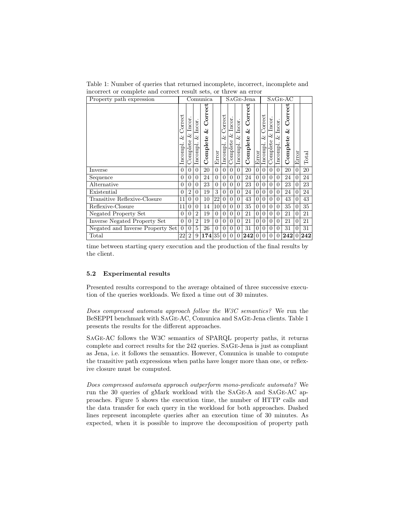Table 1: Number of queries that returned incomplete, incorrect, incomplete and incorrect or complete and correct result sets, or threw an error

| Property path expression         |                                 |                                | Comunica                       |                                 |                |                                |                                | SAGE-Jena                      |                                 |          |                                 |                                | $SAGE-AC$                     |                          |          |       |  |
|----------------------------------|---------------------------------|--------------------------------|--------------------------------|---------------------------------|----------------|--------------------------------|--------------------------------|--------------------------------|---------------------------------|----------|---------------------------------|--------------------------------|-------------------------------|--------------------------|----------|-------|--|
|                                  | Correct<br>$\approx$<br>Incompl | Incor.<br>$\infty$<br>Complete | Incor.<br>$\infty$<br>Incompl. | Correct<br>$\infty$<br>Complete | Error          | Correct<br>$\infty$<br>Incompl | Incor.<br>$\infty$<br>Complete | Incor.<br>$\infty$<br>Incompl. | Correct<br>$\infty$<br>Complete | Error    | Correct<br>$\infty$<br>Incompl. | Incor.<br>$\infty$<br>Complete | Incor.<br>$\infty$<br>Incompl | Correct<br>2<br>Complete | Error    | Total |  |
| Inverse                          | $\Omega$                        | $\Omega$                       | $\Omega$                       | 20                              | $\Omega$       | $\Omega$                       | $\Omega$                       | $\Omega$                       | 20                              | $\Omega$ | $\overline{0}$                  | $\theta$                       | $\Omega$                      | 20                       | $\Omega$ | 20    |  |
| Sequence                         | $\Omega$                        | $\overline{0}$                 | $\overline{0}$                 | 24                              | $\overline{0}$ | $\overline{0}$                 | $\overline{0}$                 | $\Omega$                       | 24                              | $\Omega$ | $\overline{0}$                  | $\overline{0}$                 | $\overline{0}$                | 24                       | $\Omega$ | 24    |  |
| Alternative                      |                                 | $\overline{0}$                 | $\overline{0}$                 | 23                              | $\overline{0}$ | $\overline{0}$                 | $\overline{0}$                 | $\Omega$                       | 23                              | $\Omega$ | $\overline{0}$                  | $\overline{0}$                 | $\overline{0}$                | 23                       | $\Omega$ | 23    |  |
| Existential                      | $\Omega$                        | $\overline{2}$                 | $\Omega$                       | 19                              | 3              | $\overline{0}$                 | $\overline{0}$                 | $\Omega$                       | 24                              | $\Omega$ | $\overline{0}$                  | $\overline{0}$                 | $\Omega$                      | 24                       | $\Omega$ | 24    |  |
| Transitive Reflexive-Closure     | 11                              | $\Omega$                       | $\Omega$                       | 10                              | 22             | $\Omega$                       | $\Omega$                       | $\Omega$                       | 43                              | $\Omega$ | $\overline{0}$                  | $\theta$                       | $\Omega$                      | 43                       | 0        | 43    |  |
| Reflexive-Closure                | 11                              | $\theta$                       | $\Omega$                       | 14                              | 10             | $\Omega$                       | $\Omega$                       | $\Omega$                       | 35                              | $\Omega$ | $\theta$                        | $\Omega$                       | $\Omega$                      | 35                       | $\Omega$ | 35    |  |
| Negated Property Set             |                                 | $\Omega$                       | $\overline{2}$                 | 19                              | $\Omega$       | $\Omega$                       | $\overline{0}$                 | $\Omega$                       | 21                              | $\Omega$ | $\theta$                        | $\theta$                       | $\Omega$                      | 21                       | 0        | 21    |  |
| Inverse Negated Property Set     |                                 | $\Omega$                       | $\overline{2}$                 | 19                              | $\Omega$       | $\theta$                       | $\overline{0}$                 | $\Omega$                       | 21                              | $\Omega$ | $\theta$                        | $\overline{0}$                 | $\Omega$                      | 21                       | $\Omega$ | 21    |  |
| Negated and Inverse Property Set |                                 | $\overline{0}$                 | 5                              | 26                              | $\overline{0}$ | $\Omega$                       | $\overline{0}$                 | $\Omega$                       | 31                              | $\Omega$ | $\overline{0}$                  | $\overline{0}$                 | $\theta$                      | 31                       | 0        | 31    |  |
| $\text{Total}$                   |                                 | $\overline{2}$                 | 9                              | 174                             | 35             | $\overline{0}$                 | $\overline{0}$                 | $\Omega$                       | 242                             | $\Omega$ | 0                               | $\Omega$                       | $\Omega$                      | 242                      | $\Omega$ | 242   |  |

time between starting query execution and the production of the final results by the client.

### 5.2 Experimental results

Presented results correspond to the average obtained of three successive execution of the queries workloads. We fixed a time out of 30 minutes.

Does compressed automata approach follow the W3C semantics? We run the BeSEPPI benchmark with SaGe-AC, Comunica and SaGe-Jena clients. Table 1 presents the results for the different approaches.

SaGe-AC follows the W3C semantics of SPARQL property paths, it returns complete and correct results for the 242 queries. SaGe-Jena is just as compliant as Jena, i.e. it follows the semantics. However, Comunica is unable to compute the transitive path expressions when paths have longer more than one, or reflexive closure must be computed.

Does compressed automata approach outperform mono-predicate automata? We run the 30 queries of gMark workload with the SaGe-A and SaGe-AC approaches. Figure 5 shows the execution time, the number of HTTP calls and the data transfer for each query in the workload for both approaches. Dashed lines represent incomplete queries after an execution time of 30 minutes. As expected, when it is possible to improve the decomposition of property path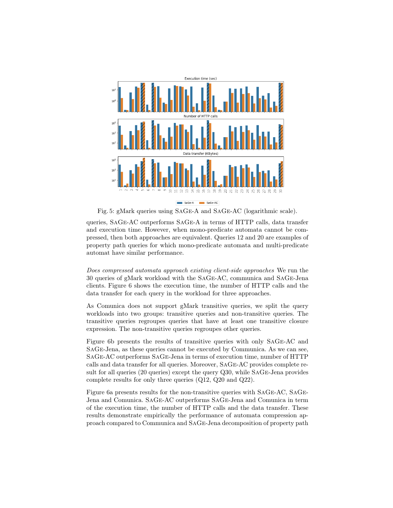

Fig. 5: gMark queries using SaGe-A and SaGe-AC (logarithmic scale).

queries, SaGe-AC outperforms SaGe-A in terms of HTTP calls, data transfer and execution time. However, when mono-predicate automata cannot be compressed, then both approaches are equivalent. Queries 12 and 20 are examples of property path queries for which mono-predicate automata and multi-predicate automat have similar performance.

Does compressed automata approach existing client-side approaches We run the 30 queries of gMark workload with the SaGe-AC, communica and SaGe-Jena clients. Figure 6 shows the execution time, the number of HTTP calls and the data transfer for each query in the workload for three approaches.

As Comunica does not support gMark transitive queries, we split the query workloads into two groups: transitive queries and non-transitive queries. The transitive queries regroupes queries that have at least one transitive closure expression. The non-transitive queries regroupes other queries.

Figure 6b presents the results of transitive queries with only SaGe-AC and SaGe-Jena, as these queries cannot be executed by Communica. As we can see, SaGe-AC outperforms SaGe-Jena in terms of execution time, number of HTTP calls and data transfer for all queries. Moreover, SaGe-AC provides complete result for all queries (20 queries) except the query Q30, while SaGe-Jena provides complete results for only three queries (Q12, Q20 and Q22).

Figure 6a presents results for the non-transitive queries with SaGe-AC, SaGe-Jena and Comunica. SaGe-AC outperforms SaGe-Jena and Comunica in term of the execution time, the number of HTTP calls and the data transfer. These results demonstrate empirically the performance of automata compression approach compared to Communica and SaGe-Jena decomposition of property path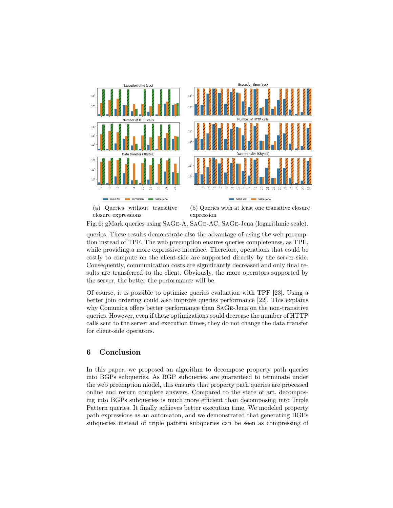

Fig. 6: gMark queries using SaGe-A, SaGe-AC, SaGe-Jena (logarithmic scale).

queries. These results demonstrate also the advantage of using the web preemption instead of TPF. The web preemption ensures queries completeness, as TPF, while providing a more expressive interface. Therefore, operations that could be costly to compute on the client-side are supported directly by the server-side. Consequently, communication costs are significantly decreased and only final results are transferred to the client. Obviously, the more operators supported by the server, the better the performance will be.

Of course, it is possible to optimize queries evaluation with TPF [23]. Using a better join ordering could also improve queries performance [22]. This explains why Comunica offers better performance than SaGe-Jena on the non-transitive queries. However, even if these optimizations could decrease the number of HTTP calls sent to the server and execution times, they do not change the data transfer for client-side operators.

## 6 Conclusion

In this paper, we proposed an algorithm to decompose property path queries into BGPs subqueries. As BGP subqueries are guaranteed to terminate under the web preemption model, this ensures that property path queries are processed online and return complete answers. Compared to the state of art, decomposing into BGPs subqueries is much more efficient than decomposing into Triple Pattern queries. It finally achieves better execution time. We modeled property path expressions as an automaton, and we demonstrated that generating BGPs subqueries instead of triple pattern subqueries can be seen as compressing of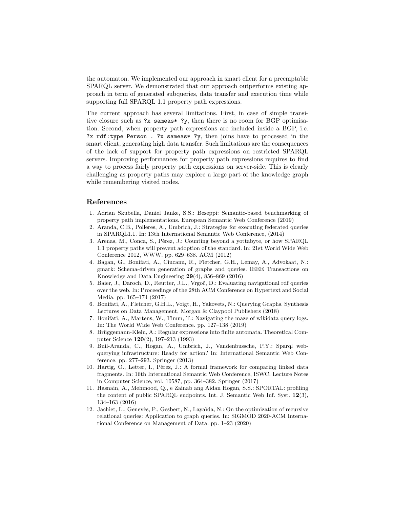the automaton. We implemented our approach in smart client for a preemptable SPARQL server. We demonstrated that our approach outperforms existing approach in term of generated subqueries, data transfer and execution time while supporting full SPARQL 1.1 property path expressions.

The current approach has several limitations. First, in case of simple transitive closure such as ?x sameas\* ?y, then there is no room for BGP optimisation. Second, when property path expressions are included inside a BGP, i.e. ?x rdf:type Person . ?x sameas\* ?y, then joins have to processed in the smart client, generating high data transfer. Such limitations are the consequences of the lack of support for property path expressions on restricted SPARQL servers. Improving performances for property path expressions requires to find a way to process fairly property path expressions on server-side. This is clearly challenging as property paths may explore a large part of the knowledge graph while remembering visited nodes.

## References

- 1. Adrian Skubella, Daniel Janke, S.S.: Beseppi: Semantic-based benchmarking of property path implementations. European Semantic Web Conference (2019)
- 2. Aranda, C.B., Polleres, A., Umbrich, J.: Strategies for executing federated queries in SPARQL1.1. In: 13th International Semantic Web Conference, (2014)
- 3. Arenas, M., Conca, S., Pérez, J.: Counting beyond a yottabyte, or how SPARQL 1.1 property paths will prevent adoption of the standard. In: 21st World Wide Web Conference 2012, WWW. pp. 629–638. ACM (2012)
- 4. Bagan, G., Bonifati, A., Ciucanu, R., Fletcher, G.H., Lemay, A., Advokaat, N.: gmark: Schema-driven generation of graphs and queries. IEEE Transactions on Knowledge and Data Engineering 29(4), 856–869 (2016)
- 5. Baier, J., Daroch, D., Reutter, J.L., Vrgoč, D.: Evaluating navigational rdf queries over the web. In: Proceedings of the 28th ACM Conference on Hypertext and Social Media. pp. 165–174 (2017)
- 6. Bonifati, A., Fletcher, G.H.L., Voigt, H., Yakovets, N.: Querying Graphs. Synthesis Lectures on Data Management, Morgan & Claypool Publishers (2018)
- 7. Bonifati, A., Martens, W., Timm, T.: Navigating the maze of wikidata query logs. In: The World Wide Web Conference. pp. 127–138 (2019)
- 8. Brüggemann-Klein, A.: Regular expressions into finite automata. Theoretical Computer Science 120(2), 197–213 (1993)
- 9. Buil-Aranda, C., Hogan, A., Umbrich, J., Vandenbussche, P.Y.: Sparql webquerying infrastructure: Ready for action? In: International Semantic Web Conference. pp. 277–293. Springer (2013)
- 10. Hartig, O., Letter, I., Pérez, J.: A formal framework for comparing linked data fragments. In: 16th International Semantic Web Conference, ISWC. Lecture Notes in Computer Science, vol. 10587, pp. 364–382. Springer (2017)
- 11. Hasnain, A., Mehmood, Q., e Zainab ang Aidan Hogan, S.S.: SPORTAL: profiling the content of public SPARQL endpoints. Int. J. Semantic Web Inf. Syst. 12(3), 134–163 (2016)
- 12. Jachiet, L., Genevès, P., Gesbert, N., Layaïda, N.: On the optimization of recursive relational queries: Application to graph queries. In: SIGMOD 2020-ACM International Conference on Management of Data. pp. 1–23 (2020)